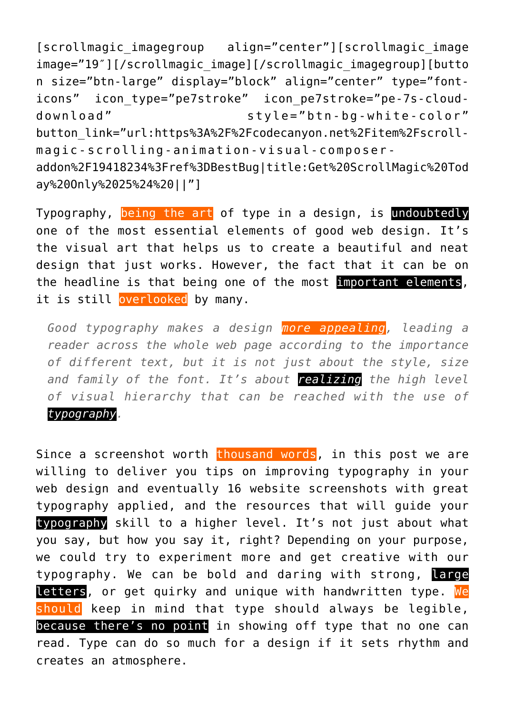[scrollmagic\_imagegroup align="center"][scrollmagic\_image image="19″][/scrollmagic\_image][/scrollmagic\_imagegroup][butto n size="btn-large" display="block" align="center" type="fonticons" icon\_type="pe7stroke" icon\_pe7stroke="pe-7s-clouddownload" style="btn-bg-white-color" button\_link="url:https%3A%2F%2Fcodecanyon.net%2Fitem%2Fscrollmagic-scrolling-animation-visual-composeraddon%2F19418234%3Fref%3DBestBug|title:Get%20ScrollMagic%20Tod ay%20Only%2025%24%20||"]

Typography, being the art of type in a design, is undoubtedly one of the most essential elements of good web design. It's the visual art that helps us to create a beautiful and neat design that just works. However, the fact that it can be on the headline is that being one of the most important elements, it is still overlooked by many.

*Good typography makes a design more appealing, leading a reader across the whole web page according to the importance of different text, but it is not just about the style, size and family of the font. It's about realizing the high level of visual hierarchy that can be reached with the use of typography.*

Since a screenshot worth thousand words, in this post we are willing to deliver you tips on improving typography in your web design and eventually 16 website screenshots with great typography applied, and the resources that will guide your typography skill to a higher level. It's not just about what you say, but how you say it, right? Depending on your purpose, we could try to experiment more and get creative with our typography. We can be bold and daring with strong, large letters, or get quirky and unique with handwritten type. We should keep in mind that type should always be legible, because there's no point in showing off type that no one can read. Type can do so much for a design if it sets rhythm and creates an atmosphere.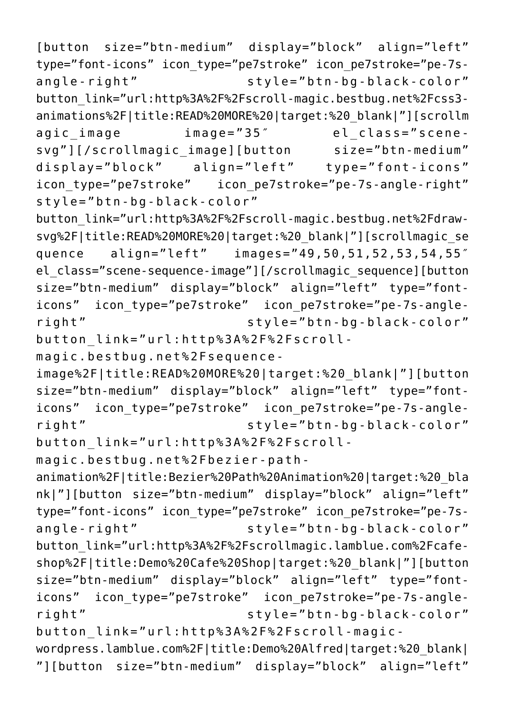button\_link="url:http%3A%2F%2Fscroll-magicwordpress.lamblue.com%2F|title:Demo%20Alfred|target:%20\_blank| "][button size="btn-medium" display="block" align="left"

animation%2F|title:Bezier%20Path%20Animation%20|target:%20\_bla nk|"][button size="btn-medium" display="block" align="left" type="font-icons" icon\_type="pe7stroke" icon\_pe7stroke="pe-7sangle-right" style="btn-bg-black-color" button\_link="url:http%3A%2F%2Fscrollmagic.lamblue.com%2Fcafeshop%2F|title:Demo%20Cafe%20Shop|target:%20\_blank|"][button size="btn-medium" display="block" align="left" type="fonticons" icon\_type="pe7stroke" icon\_pe7stroke="pe-7s-angleright" style="btn-bg-black-color"

button\_link="url:http%3A%2F%2Fscrollmagic.bestbug.net%2Fbezier-path-

magic.bestbug.net%2Fsequenceimage%2F|title:READ%20MORE%20|target:%20\_blank|"][button size="btn-medium" display="block" align="left" type="fonticons" icon\_type="pe7stroke" icon\_pe7stroke="pe-7s-angleright" style="btn-bg-black-color"

button\_link="url:http%3A%2F%2Fscroll-

style="btn-bg-black-color" button\_link="url:http%3A%2F%2Fscroll-magic.bestbug.net%2Fdrawsvg%2F|title:READ%20MORE%20|target:%20\_blank|"][scrollmagic\_se quence align="left" images="49,50,51,52,53,54,55″ el\_class="scene-sequence-image"][/scrollmagic\_sequence][button size="btn-medium" display="block" align="left" type="fonticons" icon\_type="pe7stroke" icon\_pe7stroke="pe-7s-angleright" style="btn-bg-black-color"

angle-right" style="btn-bg-black-color" button\_link="url:http%3A%2F%2Fscroll-magic.bestbug.net%2Fcss3 animations%2F|title:READ%20MORE%20|target:%20\_blank|"][scrollm agic image image="35" el class="scenesvg"][/scrollmagic\_image][button size="btn-medium" display="block" align="left" type="font-icons" icon\_type="pe7stroke" icon\_pe7stroke="pe-7s-angle-right"

[button size="btn-medium" display="block" align="left" type="font-icons" icon\_type="pe7stroke" icon\_pe7stroke="pe-7s